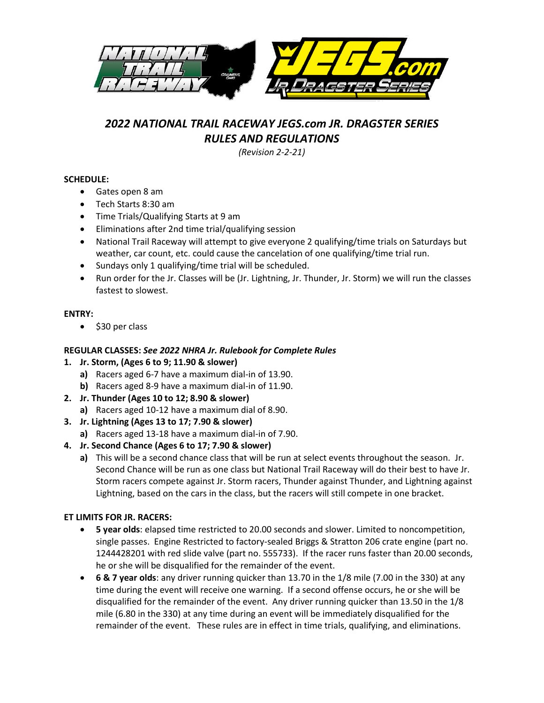

# *2022 NATIONAL TRAIL RACEWAY JEGS.com JR. DRAGSTER SERIES RULES AND REGULATIONS*

*(Revision 2-2-21)*

# **SCHEDULE:**

- Gates open 8 am
- Tech Starts 8:30 am
- Time Trials/Qualifying Starts at 9 am
- Eliminations after 2nd time trial/qualifying session
- National Trail Raceway will attempt to give everyone 2 qualifying/time trials on Saturdays but weather, car count, etc. could cause the cancelation of one qualifying/time trial run.
- Sundays only 1 qualifying/time trial will be scheduled.
- Run order for the Jr. Classes will be (Jr. Lightning, Jr. Thunder, Jr. Storm) we will run the classes fastest to slowest.

# **ENTRY:**

• \$30 per class

# **REGULAR CLASSES:** *See 2022 NHRA Jr. Rulebook for Complete Rules*

- **1. Jr. Storm, (Ages 6 to 9; 11.90 & slower)**
	- **a)** Racers aged 6-7 have a maximum dial-in of 13.90.
	- **b)** Racers aged 8-9 have a maximum dial-in of 11.90.
- **2. Jr. Thunder (Ages 10 to 12; 8.90 & slower)**
	- **a)** Racers aged 10-12 have a maximum dial of 8.90.
- **3. Jr. Lightning (Ages 13 to 17; 7.90 & slower)**
	- **a)** Racers aged 13-18 have a maximum dial-in of 7.90.
- **4. Jr. Second Chance (Ages 6 to 17; 7.90 & slower)**
	- **a)** This will be a second chance class that will be run at select events throughout the season. Jr. Second Chance will be run as one class but National Trail Raceway will do their best to have Jr. Storm racers compete against Jr. Storm racers, Thunder against Thunder, and Lightning against Lightning, based on the cars in the class, but the racers will still compete in one bracket.

# **ET LIMITS FOR JR. RACERS:**

- **5 year olds**: elapsed time restricted to 20.00 seconds and slower. Limited to noncompetition, single passes. Engine Restricted to factory-sealed Briggs & Stratton 206 crate engine (part no. 1244428201 with red slide valve (part no. 555733). If the racer runs faster than 20.00 seconds, he or she will be disqualified for the remainder of the event.
- **6 & 7 year olds**: any driver running quicker than 13.70 in the 1/8 mile (7.00 in the 330) at any time during the event will receive one warning. If a second offense occurs, he or she will be disqualified for the remainder of the event. Any driver running quicker than 13.50 in the 1/8 mile (6.80 in the 330) at any time during an event will be immediately disqualified for the remainder of the event. These rules are in effect in time trials, qualifying, and eliminations.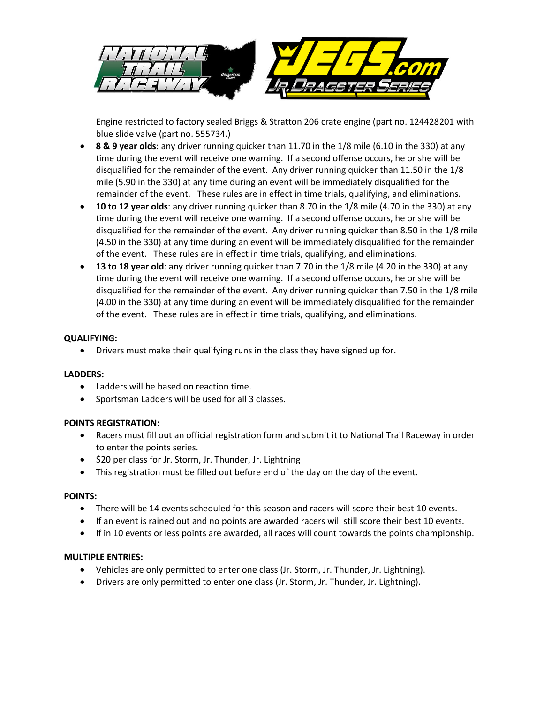

Engine restricted to factory sealed Briggs & Stratton 206 crate engine (part no. 124428201 with blue slide valve (part no. 555734.)

- **8 & 9 year olds**: any driver running quicker than 11.70 in the 1/8 mile (6.10 in the 330) at any time during the event will receive one warning. If a second offense occurs, he or she will be disqualified for the remainder of the event. Any driver running quicker than 11.50 in the 1/8 mile (5.90 in the 330) at any time during an event will be immediately disqualified for the remainder of the event. These rules are in effect in time trials, qualifying, and eliminations.
- **10 to 12 year olds**: any driver running quicker than 8.70 in the 1/8 mile (4.70 in the 330) at any time during the event will receive one warning. If a second offense occurs, he or she will be disqualified for the remainder of the event. Any driver running quicker than 8.50 in the 1/8 mile (4.50 in the 330) at any time during an event will be immediately disqualified for the remainder of the event. These rules are in effect in time trials, qualifying, and eliminations.
- **13 to 18 year old**: any driver running quicker than 7.70 in the 1/8 mile (4.20 in the 330) at any time during the event will receive one warning. If a second offense occurs, he or she will be disqualified for the remainder of the event. Any driver running quicker than 7.50 in the 1/8 mile (4.00 in the 330) at any time during an event will be immediately disqualified for the remainder of the event. These rules are in effect in time trials, qualifying, and eliminations.

#### **QUALIFYING:**

• Drivers must make their qualifying runs in the class they have signed up for.

### **LADDERS:**

- Ladders will be based on reaction time.
- Sportsman Ladders will be used for all 3 classes.

### **POINTS REGISTRATION:**

- Racers must fill out an official registration form and submit it to National Trail Raceway in order to enter the points series.
- \$20 per class for Jr. Storm, Jr. Thunder, Jr. Lightning
- This registration must be filled out before end of the day on the day of the event.

#### **POINTS:**

- There will be 14 events scheduled for this season and racers will score their best 10 events.
- If an event is rained out and no points are awarded racers will still score their best 10 events.
- If in 10 events or less points are awarded, all races will count towards the points championship.

#### **MULTIPLE ENTRIES:**

- Vehicles are only permitted to enter one class (Jr. Storm, Jr. Thunder, Jr. Lightning).
- Drivers are only permitted to enter one class (Jr. Storm, Jr. Thunder, Jr. Lightning).